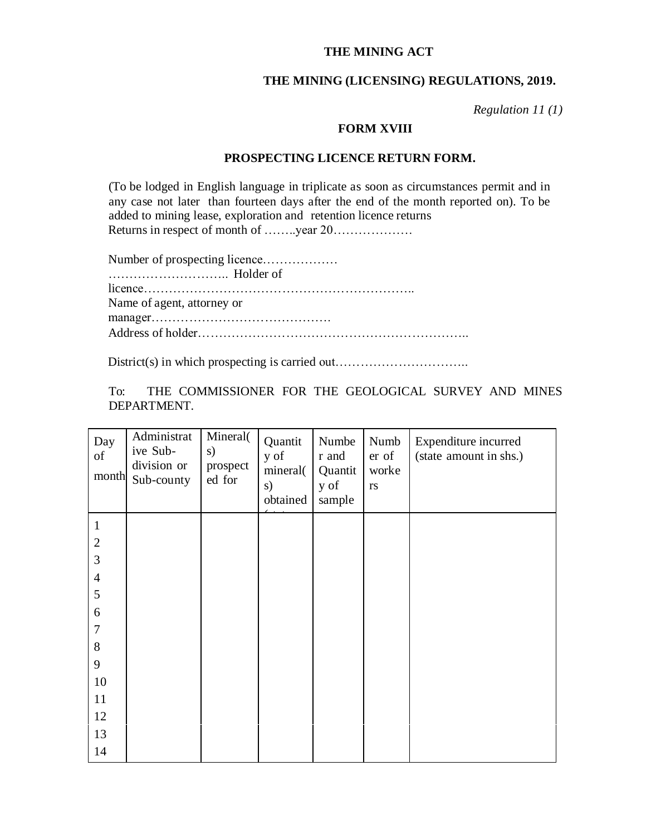## **THE MINING ACT**

## **THE MINING (LICENSING) REGULATIONS, 2019.**

*Regulation 11 (1)*

## **FORM XVIII**

## **PROSPECTING LICENCE RETURN FORM.**

(To be lodged in English language in triplicate as soon as circumstances permit and in any case not later than fourteen days after the end of the month reported on). To be added to mining lease, exploration and retention licence returns Returns in respect of month of …….year 20………………

| Number of prospecting licence |
|-------------------------------|
|                               |
|                               |
| Name of agent, attorney or    |
|                               |
|                               |

District(s) in which prospecting is carried out..................................

To: THE COMMISSIONER FOR THE GEOLOGICAL SURVEY AND MINES DEPARTMENT.

| Day<br>of<br>month | Administrat<br>ive Sub-<br>division or<br>Sub-county | Mineral(<br>s)<br>prospect<br>ed for | Quantit<br>y of<br>mineral(<br>s)<br>obtained | Numbe<br>r and<br>Quantit<br>y of<br>sample | Numb<br>er of<br>worke<br>$\mathbf{r}\mathbf{s}$ | Expenditure incurred<br>(state amount in shs.) |
|--------------------|------------------------------------------------------|--------------------------------------|-----------------------------------------------|---------------------------------------------|--------------------------------------------------|------------------------------------------------|
| $\mathbf{1}$       |                                                      |                                      |                                               |                                             |                                                  |                                                |
| $\overline{2}$     |                                                      |                                      |                                               |                                             |                                                  |                                                |
| 3                  |                                                      |                                      |                                               |                                             |                                                  |                                                |
| $\overline{4}$     |                                                      |                                      |                                               |                                             |                                                  |                                                |
| 5                  |                                                      |                                      |                                               |                                             |                                                  |                                                |
| $\boldsymbol{6}$   |                                                      |                                      |                                               |                                             |                                                  |                                                |
| $\overline{7}$     |                                                      |                                      |                                               |                                             |                                                  |                                                |
| $8\,$              |                                                      |                                      |                                               |                                             |                                                  |                                                |
| 9                  |                                                      |                                      |                                               |                                             |                                                  |                                                |
| 10                 |                                                      |                                      |                                               |                                             |                                                  |                                                |
| 11                 |                                                      |                                      |                                               |                                             |                                                  |                                                |
| 12                 |                                                      |                                      |                                               |                                             |                                                  |                                                |
| 13                 |                                                      |                                      |                                               |                                             |                                                  |                                                |
| 14                 |                                                      |                                      |                                               |                                             |                                                  |                                                |